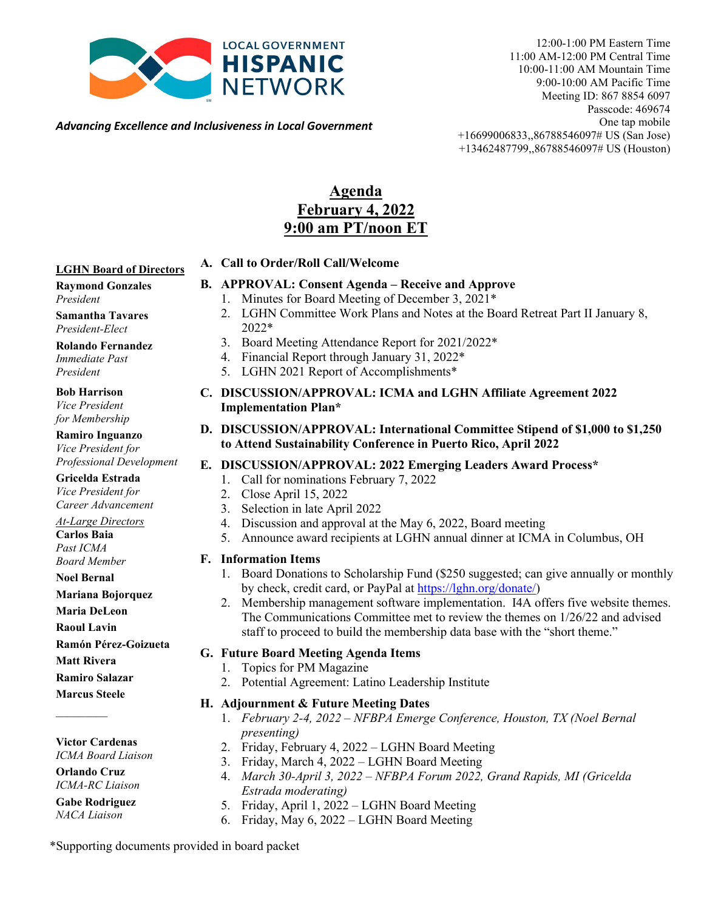

12:00-1:00 PM Eastern Time 11:00 AM-12:00 PM Central Time 10:00-11:00 AM Mountain Time 9:00-10:00 AM Pacific Time Meeting ID: 867 8854 6097 Passcode: 469674 One tap mobile +16699006833,,86788546097# US (San Jose) +13462487799,,86788546097# US (Houston)

*Advancing Excellence and Inclusiveness in Local Government*

## **Agenda February 4, 2022 9:00 am PT/noon ET**

### **LGHN Board of Directors**

### **Raymond Gonzales** *President*

**Samantha Tavares** *President-Elect*

**Rolando Fernandez**  *Immediate Past President*

**Bob Harrison**

*Vice President for Membership*

**Ramiro Inguanzo** *Vice President for Professional Development*

**Gricelda Estrada** *Vice President for*

*Career Advancement At-Large Directors*

**Carlos Baia** *Past ICMA*

*Board Member* **Noel Bernal**

**Mariana Bojorquez**

**Maria DeLeon** 

**Raoul Lavin**

**Ramón Pérez-Goizueta**

**Matt Rivera**

**Ramiro Salazar**

**Marcus Steele**

 $\mathcal{L}$ 

**Victor Cardenas**

*ICMA Board Liaison*

**Orlando Cruz** *ICMA-RC Liaison*

#### **Gabe Rodriguez** *NACA Liaison*

**A. Call to Order/Roll Call/Welcome** 

### **B. APPROVAL: Consent Agenda – Receive and Approve**

- 1. Minutes for Board Meeting of December 3, 2021\*
- 2. LGHN Committee Work Plans and Notes at the Board Retreat Part II January 8, 2022\*
- 3. Board Meeting Attendance Report for 2021/2022\*
- 4. Financial Report through January 31, 2022\*
- 5. LGHN 2021 Report of Accomplishments\*
- **C. DISCUSSION/APPROVAL: ICMA and LGHN Affiliate Agreement 2022 Implementation Plan\***

### **D. DISCUSSION/APPROVAL: International Committee Stipend of \$1,000 to \$1,250 to Attend Sustainability Conference in Puerto Rico, April 2022**

- **E. DISCUSSION/APPROVAL: 2022 Emerging Leaders Award Process\***
	- 1. Call for nominations February 7, 2022
	- 2. Close April 15, 2022
	- 3. Selection in late April 2022
	- 4. Discussion and approval at the May 6, 2022, Board meeting
	- 5. Announce award recipients at LGHN annual dinner at ICMA in Columbus, OH

### **F. Information Items**

- 1. Board Donations to Scholarship Fund (\$250 suggested; can give annually or monthly by check, credit card, or PayPal at [https://lghn.org/donate/\)](https://lghn.org/donate/)
- 2. Membership management software implementation. I4A offers five website themes. The Communications Committee met to review the themes on 1/26/22 and advised staff to proceed to build the membership data base with the "short theme."

### **G. Future Board Meeting Agenda Items**

- 1. Topics for PM Magazine
- 2. Potential Agreement: Latino Leadership Institute
- **H. Adjournment & Future Meeting Dates** 
	- 1. *February 2-4, 2022 – NFBPA Emerge Conference, Houston, TX (Noel Bernal presenting)*
	- 2. Friday, February 4, 2022 LGHN Board Meeting
	- 3. Friday, March 4, 2022 LGHN Board Meeting
	- 4. *March 30-April 3, 2022 – NFBPA Forum 2022, Grand Rapids, MI (Gricelda Estrada moderating)*
	- 5. Friday, April 1, 2022 LGHN Board Meeting
	- 6. Friday, May 6, 2022 LGHN Board Meeting

\*Supporting documents provided in board packet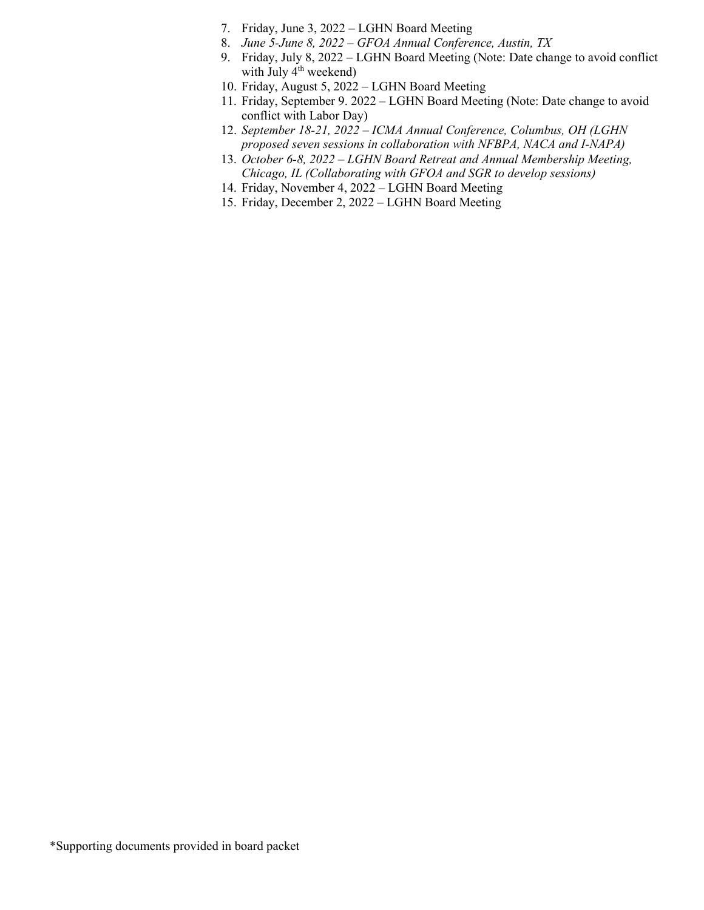- 7. Friday, June 3, 2022 LGHN Board Meeting
- 8. *June 5-June 8, 2022 – GFOA Annual Conference, Austin, TX*
- 9. Friday, July 8, 2022 LGHN Board Meeting (Note: Date change to avoid conflict with July 4<sup>th</sup> weekend)
- 10. Friday, August 5, 2022 LGHN Board Meeting
- 11. Friday, September 9. 2022 LGHN Board Meeting (Note: Date change to avoid conflict with Labor Day)
- 12. *September 18-21, 2022 – ICMA Annual Conference, Columbus, OH (LGHN proposed seven sessions in collaboration with NFBPA, NACA and I-NAPA)*
- 13. *October 6-8, 2022 – LGHN Board Retreat and Annual Membership Meeting, Chicago, IL (Collaborating with GFOA and SGR to develop sessions)*
- 14. Friday, November 4, 2022 LGHN Board Meeting
- 15. Friday, December 2, 2022 LGHN Board Meeting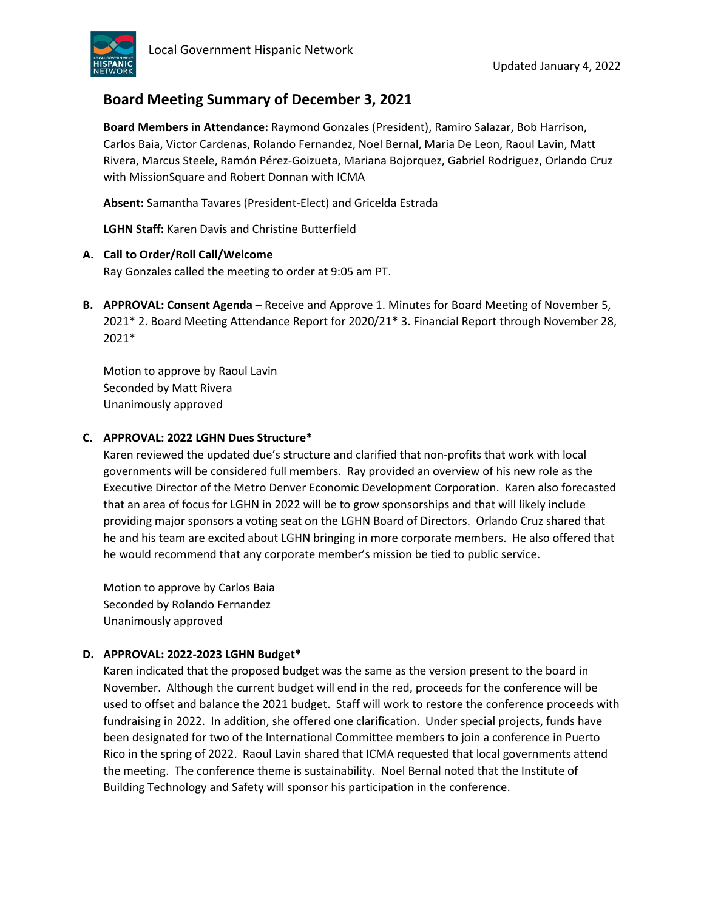

## **Board Meeting Summary of December 3, 2021**

**Board Members in Attendance:** Raymond Gonzales (President), Ramiro Salazar, Bob Harrison, Carlos Baia, Victor Cardenas, Rolando Fernandez, Noel Bernal, Maria De Leon, Raoul Lavin, Matt Rivera, Marcus Steele, Ramón Pérez-Goizueta, Mariana Bojorquez, Gabriel Rodriguez, Orlando Cruz with MissionSquare and Robert Donnan with ICMA

**Absent:** Samantha Tavares (President-Elect) and Gricelda Estrada

**LGHN Staff:** Karen Davis and Christine Butterfield

### **A. Call to Order/Roll Call/Welcome**

Ray Gonzales called the meeting to order at 9:05 am PT.

**B. APPROVAL: Consent Agenda** – Receive and Approve 1. Minutes for Board Meeting of November 5, 2021\* 2. Board Meeting Attendance Report for 2020/21\* 3. Financial Report through November 28, 2021\*

Motion to approve by Raoul Lavin Seconded by Matt Rivera Unanimously approved

### **C. APPROVAL: 2022 LGHN Dues Structure\***

Karen reviewed the updated due's structure and clarified that non-profits that work with local governments will be considered full members. Ray provided an overview of his new role as the Executive Director of the Metro Denver Economic Development Corporation. Karen also forecasted that an area of focus for LGHN in 2022 will be to grow sponsorships and that will likely include providing major sponsors a voting seat on the LGHN Board of Directors. Orlando Cruz shared that he and his team are excited about LGHN bringing in more corporate members. He also offered that he would recommend that any corporate member's mission be tied to public service.

Motion to approve by Carlos Baia Seconded by Rolando Fernandez Unanimously approved

### **D. APPROVAL: 2022-2023 LGHN Budget\***

Karen indicated that the proposed budget was the same as the version present to the board in November. Although the current budget will end in the red, proceeds for the conference will be used to offset and balance the 2021 budget. Staff will work to restore the conference proceeds with fundraising in 2022. In addition, she offered one clarification. Under special projects, funds have been designated for two of the International Committee members to join a conference in Puerto Rico in the spring of 2022. Raoul Lavin shared that ICMA requested that local governments attend the meeting. The conference theme is sustainability. Noel Bernal noted that the Institute of Building Technology and Safety will sponsor his participation in the conference.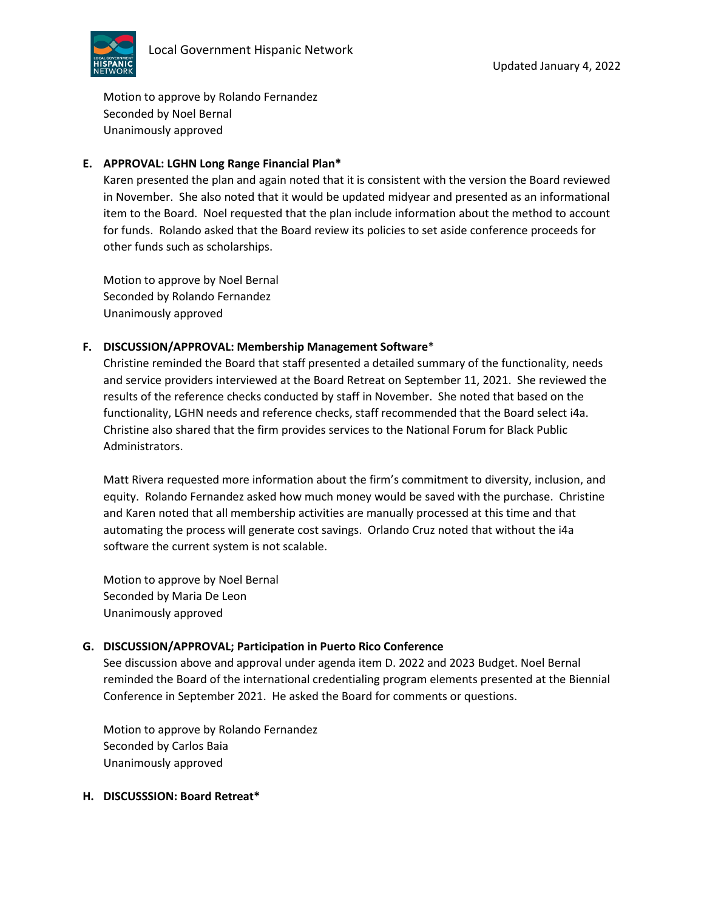

Motion to approve by Rolando Fernandez Seconded by Noel Bernal Unanimously approved

### **E. APPROVAL: LGHN Long Range Financial Plan\***

Karen presented the plan and again noted that it is consistent with the version the Board reviewed in November. She also noted that it would be updated midyear and presented as an informational item to the Board. Noel requested that the plan include information about the method to account for funds. Rolando asked that the Board review its policies to set aside conference proceeds for other funds such as scholarships.

Motion to approve by Noel Bernal Seconded by Rolando Fernandez Unanimously approved

### **F. DISCUSSION/APPROVAL: Membership Management Software**\*

Christine reminded the Board that staff presented a detailed summary of the functionality, needs and service providers interviewed at the Board Retreat on September 11, 2021. She reviewed the results of the reference checks conducted by staff in November. She noted that based on the functionality, LGHN needs and reference checks, staff recommended that the Board select i4a. Christine also shared that the firm provides services to the National Forum for Black Public Administrators.

Matt Rivera requested more information about the firm's commitment to diversity, inclusion, and equity. Rolando Fernandez asked how much money would be saved with the purchase. Christine and Karen noted that all membership activities are manually processed at this time and that automating the process will generate cost savings. Orlando Cruz noted that without the i4a software the current system is not scalable.

Motion to approve by Noel Bernal Seconded by Maria De Leon Unanimously approved

### **G. DISCUSSION/APPROVAL; Participation in Puerto Rico Conference**

See discussion above and approval under agenda item D. 2022 and 2023 Budget. Noel Bernal reminded the Board of the international credentialing program elements presented at the Biennial Conference in September 2021. He asked the Board for comments or questions.

Motion to approve by Rolando Fernandez Seconded by Carlos Baia Unanimously approved

### **H. DISCUSSSION: Board Retreat\***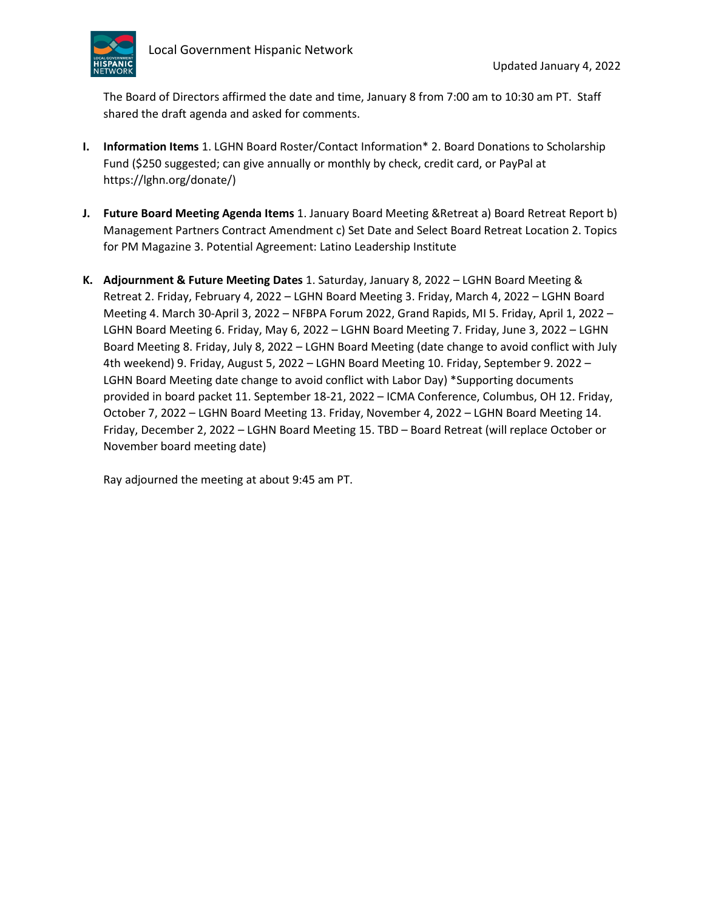

The Board of Directors affirmed the date and time, January 8 from 7:00 am to 10:30 am PT. Staff shared the draft agenda and asked for comments.

- **I. Information Items** 1. LGHN Board Roster/Contact Information\* 2. Board Donations to Scholarship Fund (\$250 suggested; can give annually or monthly by check, credit card, or PayPal at https://lghn.org/donate/)
- **J. Future Board Meeting Agenda Items** 1. January Board Meeting &Retreat a) Board Retreat Report b) Management Partners Contract Amendment c) Set Date and Select Board Retreat Location 2. Topics for PM Magazine 3. Potential Agreement: Latino Leadership Institute
- **K. Adjournment & Future Meeting Dates** 1. Saturday, January 8, 2022 LGHN Board Meeting & Retreat 2. Friday, February 4, 2022 – LGHN Board Meeting 3. Friday, March 4, 2022 – LGHN Board Meeting 4. March 30-April 3, 2022 – NFBPA Forum 2022, Grand Rapids, MI 5. Friday, April 1, 2022 – LGHN Board Meeting 6. Friday, May 6, 2022 – LGHN Board Meeting 7. Friday, June 3, 2022 – LGHN Board Meeting 8. Friday, July 8, 2022 – LGHN Board Meeting (date change to avoid conflict with July 4th weekend) 9. Friday, August 5, 2022 – LGHN Board Meeting 10. Friday, September 9. 2022 – LGHN Board Meeting date change to avoid conflict with Labor Day) \*Supporting documents provided in board packet 11. September 18-21, 2022 – ICMA Conference, Columbus, OH 12. Friday, October 7, 2022 – LGHN Board Meeting 13. Friday, November 4, 2022 – LGHN Board Meeting 14. Friday, December 2, 2022 – LGHN Board Meeting 15. TBD – Board Retreat (will replace October or November board meeting date)

Ray adjourned the meeting at about 9:45 am PT.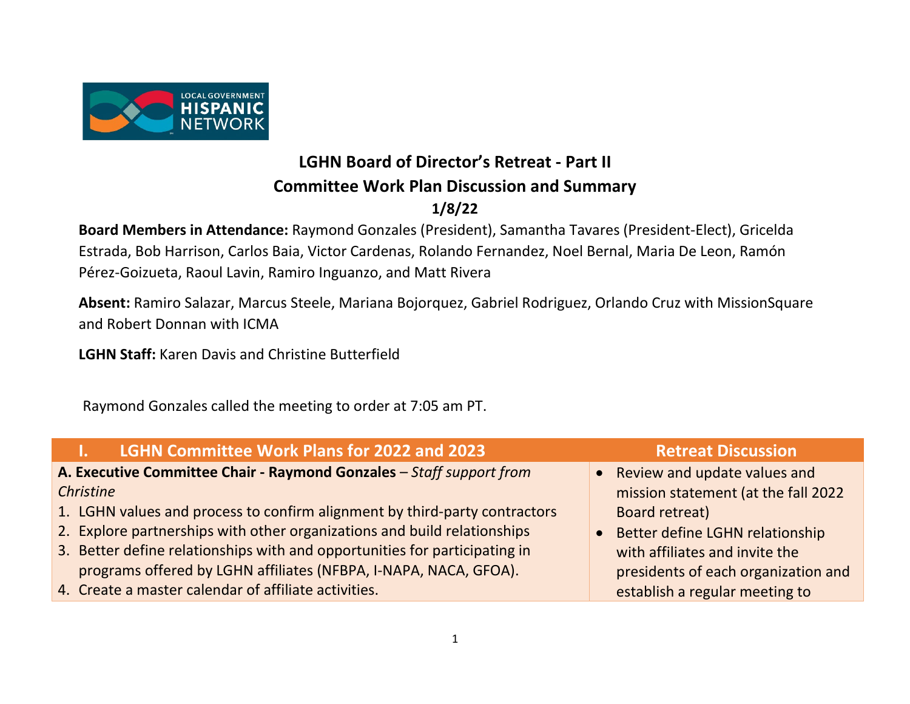

# **LGHN Board of Director's Retreat - Part II Committee Work Plan Discussion and Summary**

# **1/8/22**

**Board Members in Attendance:** Raymond Gonzales (President), Samantha Tavares (President-Elect), Gricelda Estrada, Bob Harrison, Carlos Baia, Victor Cardenas, Rolando Fernandez, Noel Bernal, Maria De Leon, Ramón Pérez-Goizueta, Raoul Lavin, Ramiro Inguanzo, and Matt Rivera

**Absent:** Ramiro Salazar, Marcus Steele, Mariana Bojorquez, Gabriel Rodriguez, Orlando Cruz with MissionSquare and Robert Donnan with ICMA

**LGHN Staff:** Karen Davis and Christine Butterfield

Raymond Gonzales called the meeting to order at 7:05 am PT.

| <b>LGHN Committee Work Plans for 2022 and 2023</b>                                           | <b>Retreat Discussion</b>           |
|----------------------------------------------------------------------------------------------|-------------------------------------|
| A. Executive Committee Chair - Raymond Gonzales - Staff support from                         | • Review and update values and      |
| Christine                                                                                    | mission statement (at the fall 2022 |
| 1. LGHN values and process to confirm alignment by third-party contractors<br>Board retreat) |                                     |
| 2. Explore partnerships with other organizations and build relationships                     | • Better define LGHN relationship   |
| 3. Better define relationships with and opportunities for participating in                   | with affiliates and invite the      |
| programs offered by LGHN affiliates (NFBPA, I-NAPA, NACA, GFOA).                             | presidents of each organization and |
| 4. Create a master calendar of affiliate activities.                                         | establish a regular meeting to      |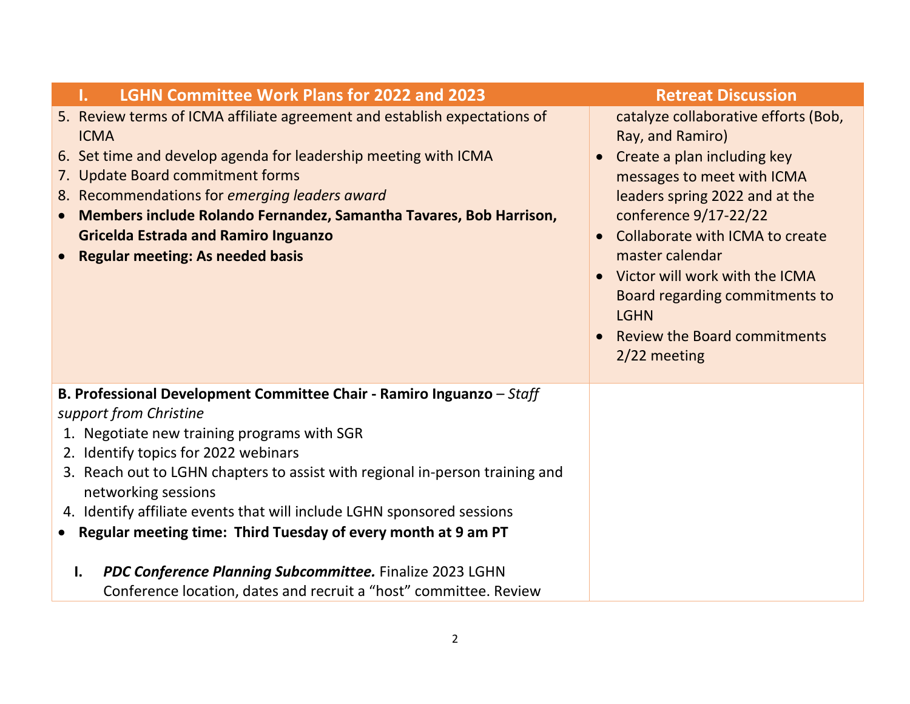| <b>LGHN Committee Work Plans for 2022 and 2023</b><br>ı.                                                                                                                                                                                                                                                                                                                                                                                                                                                                                                                                      | <b>Retreat Discussion</b>                                                                                                                                                                                                                                                                                                                                                                       |
|-----------------------------------------------------------------------------------------------------------------------------------------------------------------------------------------------------------------------------------------------------------------------------------------------------------------------------------------------------------------------------------------------------------------------------------------------------------------------------------------------------------------------------------------------------------------------------------------------|-------------------------------------------------------------------------------------------------------------------------------------------------------------------------------------------------------------------------------------------------------------------------------------------------------------------------------------------------------------------------------------------------|
| 5. Review terms of ICMA affiliate agreement and establish expectations of<br><b>ICMA</b><br>6. Set time and develop agenda for leadership meeting with ICMA<br>7. Update Board commitment forms<br>8. Recommendations for emerging leaders award<br>Members include Rolando Fernandez, Samantha Tavares, Bob Harrison,<br><b>Gricelda Estrada and Ramiro Inguanzo</b><br><b>Regular meeting: As needed basis</b>                                                                                                                                                                              | catalyze collaborative efforts (Bob,<br>Ray, and Ramiro)<br>Create a plan including key<br>messages to meet with ICMA<br>leaders spring 2022 and at the<br>conference 9/17-22/22<br>Collaborate with ICMA to create<br>$\bullet$<br>master calendar<br>• Victor will work with the ICMA<br>Board regarding commitments to<br><b>LGHN</b><br><b>Review the Board commitments</b><br>2/22 meeting |
| B. Professional Development Committee Chair - Ramiro Inguanzo - Staff<br>support from Christine<br>1. Negotiate new training programs with SGR<br>2. Identify topics for 2022 webinars<br>3. Reach out to LGHN chapters to assist with regional in-person training and<br>networking sessions<br>4. Identify affiliate events that will include LGHN sponsored sessions<br>• Regular meeting time: Third Tuesday of every month at 9 am PT<br>PDC Conference Planning Subcommittee. Finalize 2023 LGHN<br>$\mathbf{l}$ .<br>Conference location, dates and recruit a "host" committee. Review |                                                                                                                                                                                                                                                                                                                                                                                                 |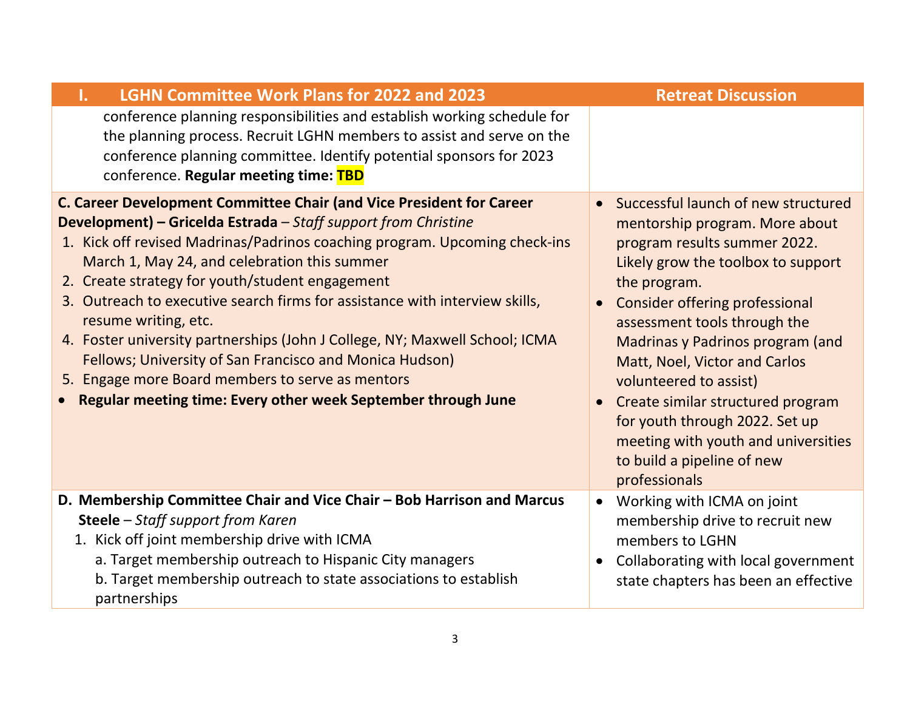| <b>LGHN Committee Work Plans for 2022 and 2023</b><br>Τ.                                                                                                                                                                                                                                                                                                                                                                                                                                                                                                                                                                                                                                      | <b>Retreat Discussion</b>                                                                                                                                                                                                                                                                                                                                                                                                                                                                        |
|-----------------------------------------------------------------------------------------------------------------------------------------------------------------------------------------------------------------------------------------------------------------------------------------------------------------------------------------------------------------------------------------------------------------------------------------------------------------------------------------------------------------------------------------------------------------------------------------------------------------------------------------------------------------------------------------------|--------------------------------------------------------------------------------------------------------------------------------------------------------------------------------------------------------------------------------------------------------------------------------------------------------------------------------------------------------------------------------------------------------------------------------------------------------------------------------------------------|
| conference planning responsibilities and establish working schedule for<br>the planning process. Recruit LGHN members to assist and serve on the<br>conference planning committee. Identify potential sponsors for 2023<br>conference. Regular meeting time: TBD                                                                                                                                                                                                                                                                                                                                                                                                                              |                                                                                                                                                                                                                                                                                                                                                                                                                                                                                                  |
| C. Career Development Committee Chair (and Vice President for Career<br>Development) - Gricelda Estrada - Staff support from Christine<br>1. Kick off revised Madrinas/Padrinos coaching program. Upcoming check-ins<br>March 1, May 24, and celebration this summer<br>2. Create strategy for youth/student engagement<br>3. Outreach to executive search firms for assistance with interview skills,<br>resume writing, etc.<br>4. Foster university partnerships (John J College, NY; Maxwell School; ICMA<br>Fellows; University of San Francisco and Monica Hudson)<br>5. Engage more Board members to serve as mentors<br>Regular meeting time: Every other week September through June | Successful launch of new structured<br>mentorship program. More about<br>program results summer 2022.<br>Likely grow the toolbox to support<br>the program.<br><b>Consider offering professional</b><br>assessment tools through the<br>Madrinas y Padrinos program (and<br>Matt, Noel, Victor and Carlos<br>volunteered to assist)<br>Create similar structured program<br>for youth through 2022. Set up<br>meeting with youth and universities<br>to build a pipeline of new<br>professionals |
| D. Membership Committee Chair and Vice Chair - Bob Harrison and Marcus<br>Steele - Staff support from Karen<br>1. Kick off joint membership drive with ICMA<br>a. Target membership outreach to Hispanic City managers<br>b. Target membership outreach to state associations to establish<br>partnerships                                                                                                                                                                                                                                                                                                                                                                                    | Working with ICMA on joint<br>membership drive to recruit new<br>members to LGHN<br>Collaborating with local government<br>state chapters has been an effective                                                                                                                                                                                                                                                                                                                                  |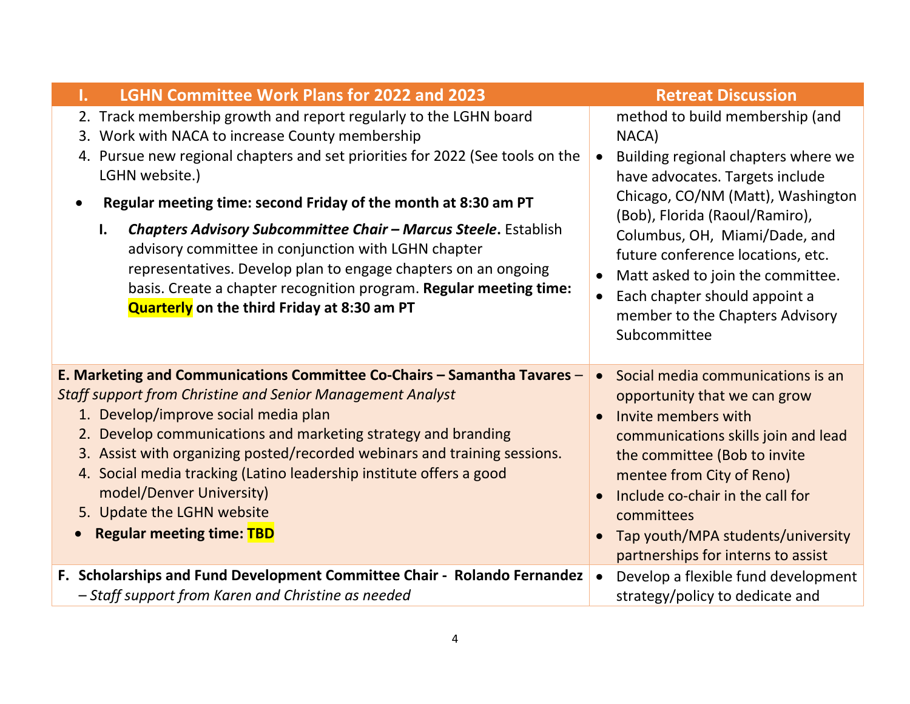| <b>LGHN Committee Work Plans for 2022 and 2023</b>                                                                                                                                                                                                                                                                                                                                                                                                                                                                                                                                                                           | <b>Retreat Discussion</b>                                                                                                                                                                                                                                                                                                                                                                             |
|------------------------------------------------------------------------------------------------------------------------------------------------------------------------------------------------------------------------------------------------------------------------------------------------------------------------------------------------------------------------------------------------------------------------------------------------------------------------------------------------------------------------------------------------------------------------------------------------------------------------------|-------------------------------------------------------------------------------------------------------------------------------------------------------------------------------------------------------------------------------------------------------------------------------------------------------------------------------------------------------------------------------------------------------|
| 2. Track membership growth and report regularly to the LGHN board<br>3. Work with NACA to increase County membership<br>4. Pursue new regional chapters and set priorities for 2022 (See tools on the<br>LGHN website.)<br>Regular meeting time: second Friday of the month at 8:30 am PT<br>Chapters Advisory Subcommittee Chair - Marcus Steele. Establish<br>$\mathbf{l}$ .<br>advisory committee in conjunction with LGHN chapter<br>representatives. Develop plan to engage chapters on an ongoing<br>basis. Create a chapter recognition program. Regular meeting time:<br>Quarterly on the third Friday at 8:30 am PT | method to build membership (and<br>NACA)<br>Building regional chapters where we<br>$\bullet$<br>have advocates. Targets include<br>Chicago, CO/NM (Matt), Washington<br>(Bob), Florida (Raoul/Ramiro),<br>Columbus, OH, Miami/Dade, and<br>future conference locations, etc.<br>Matt asked to join the committee.<br>Each chapter should appoint a<br>member to the Chapters Advisory<br>Subcommittee |
| E. Marketing and Communications Committee Co-Chairs - Samantha Tavares -<br><b>Staff support from Christine and Senior Management Analyst</b><br>1. Develop/improve social media plan<br>2. Develop communications and marketing strategy and branding<br>3. Assist with organizing posted/recorded webinars and training sessions.<br>4. Social media tracking (Latino leadership institute offers a good<br>model/Denver University)<br>5. Update the LGHN website<br><b>Regular meeting time: TBD</b>                                                                                                                     | Social media communications is an<br>$\bullet$<br>opportunity that we can grow<br>Invite members with<br>communications skills join and lead<br>the committee (Bob to invite<br>mentee from City of Reno)<br>Include co-chair in the call for<br>committees<br>Tap youth/MPA students/university<br>partnerships for interns to assist                                                                |
| F. Scholarships and Fund Development Committee Chair - Rolando Fernandez<br>- Staff support from Karen and Christine as needed                                                                                                                                                                                                                                                                                                                                                                                                                                                                                               | Develop a flexible fund development<br>$\bullet$<br>strategy/policy to dedicate and                                                                                                                                                                                                                                                                                                                   |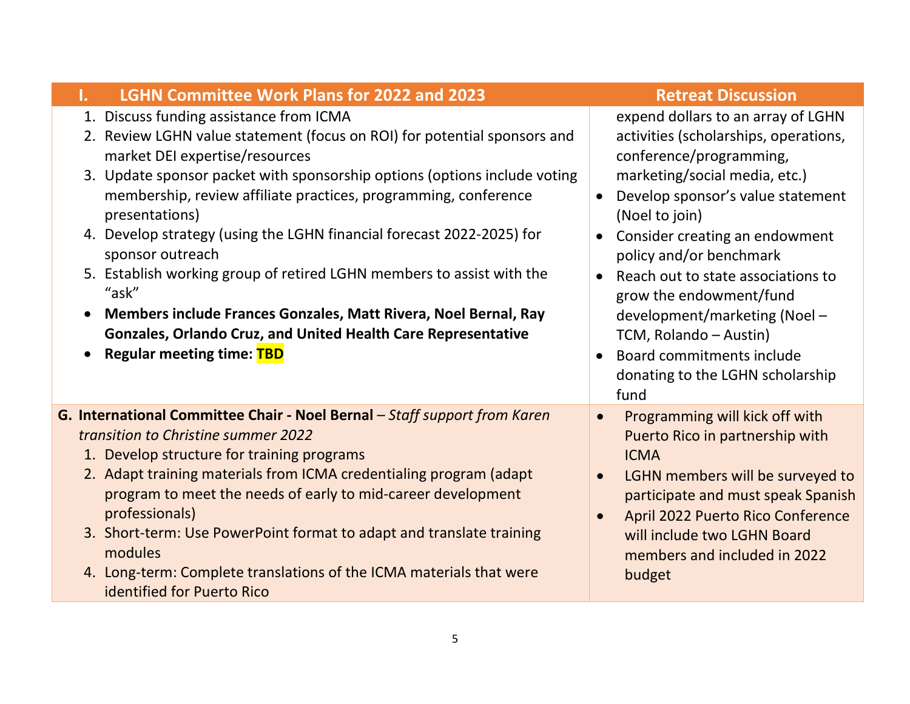| <b>LGHN Committee Work Plans for 2022 and 2023</b>                                                                                                                                                                                                                                                                                                                                                                                                                                                                    | <b>Retreat Discussion</b>                                                                                                                                                                                                                                                                                       |
|-----------------------------------------------------------------------------------------------------------------------------------------------------------------------------------------------------------------------------------------------------------------------------------------------------------------------------------------------------------------------------------------------------------------------------------------------------------------------------------------------------------------------|-----------------------------------------------------------------------------------------------------------------------------------------------------------------------------------------------------------------------------------------------------------------------------------------------------------------|
| 1. Discuss funding assistance from ICMA<br>2. Review LGHN value statement (focus on ROI) for potential sponsors and<br>market DEI expertise/resources                                                                                                                                                                                                                                                                                                                                                                 | expend dollars to an array of LGHN<br>activities (scholarships, operations,<br>conference/programming,                                                                                                                                                                                                          |
| 3. Update sponsor packet with sponsorship options (options include voting<br>membership, review affiliate practices, programming, conference<br>presentations)                                                                                                                                                                                                                                                                                                                                                        | marketing/social media, etc.)<br>Develop sponsor's value statement<br>$\bullet$<br>(Noel to join)                                                                                                                                                                                                               |
| 4. Develop strategy (using the LGHN financial forecast 2022-2025) for<br>sponsor outreach<br>5. Establish working group of retired LGHN members to assist with the<br>"ask"<br>Members include Frances Gonzales, Matt Rivera, Noel Bernal, Ray<br>Gonzales, Orlando Cruz, and United Health Care Representative<br><b>Regular meeting time: TBD</b>                                                                                                                                                                   | Consider creating an endowment<br>$\bullet$<br>policy and/or benchmark<br>Reach out to state associations to<br>$\bullet$<br>grow the endowment/fund<br>development/marketing (Noel -<br>TCM, Rolando - Austin)<br>Board commitments include<br>donating to the LGHN scholarship<br>fund                        |
| G. International Committee Chair - Noel Bernal - Staff support from Karen<br>transition to Christine summer 2022<br>1. Develop structure for training programs<br>2. Adapt training materials from ICMA credentialing program (adapt<br>program to meet the needs of early to mid-career development<br>professionals)<br>3. Short-term: Use PowerPoint format to adapt and translate training<br>modules<br>4. Long-term: Complete translations of the ICMA materials that were<br><b>identified for Puerto Rico</b> | Programming will kick off with<br>$\bullet$<br>Puerto Rico in partnership with<br><b>ICMA</b><br>LGHN members will be surveyed to<br>$\bullet$<br>participate and must speak Spanish<br>April 2022 Puerto Rico Conference<br>$\bullet$<br>will include two LGHN Board<br>members and included in 2022<br>budget |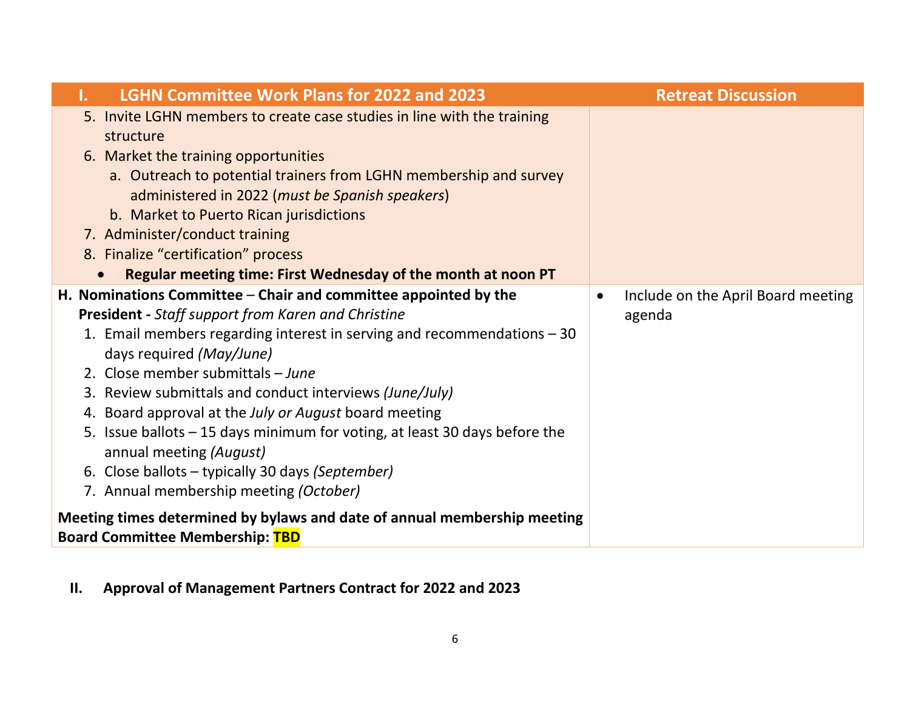| <b>LGHN Committee Work Plans for 2022 and 2023</b><br>ı.                                                                                                                                                                                                                                                                                                                                                                                                                                                                                                                                               | <b>Retreat Discussion</b>                                 |
|--------------------------------------------------------------------------------------------------------------------------------------------------------------------------------------------------------------------------------------------------------------------------------------------------------------------------------------------------------------------------------------------------------------------------------------------------------------------------------------------------------------------------------------------------------------------------------------------------------|-----------------------------------------------------------|
| 5. Invite LGHN members to create case studies in line with the training<br>structure<br>6. Market the training opportunities                                                                                                                                                                                                                                                                                                                                                                                                                                                                           |                                                           |
| a. Outreach to potential trainers from LGHN membership and survey<br>administered in 2022 (must be Spanish speakers)<br>b. Market to Puerto Rican jurisdictions                                                                                                                                                                                                                                                                                                                                                                                                                                        |                                                           |
| 7. Administer/conduct training                                                                                                                                                                                                                                                                                                                                                                                                                                                                                                                                                                         |                                                           |
| 8. Finalize "certification" process                                                                                                                                                                                                                                                                                                                                                                                                                                                                                                                                                                    |                                                           |
| Regular meeting time: First Wednesday of the month at noon PT                                                                                                                                                                                                                                                                                                                                                                                                                                                                                                                                          |                                                           |
| H. Nominations Committee $-$ Chair and committee appointed by the<br><b>President</b> - Staff support from Karen and Christine<br>1. Email members regarding interest in serving and recommendations $-30$<br>days required (May/June)<br>2. Close member submittals - June<br>3. Review submittals and conduct interviews (June/July)<br>4. Board approval at the July or August board meeting<br>5. Issue ballots – 15 days minimum for voting, at least 30 days before the<br>annual meeting (August)<br>6. Close ballots – typically 30 days (September)<br>7. Annual membership meeting (October) | Include on the April Board meeting<br>$\bullet$<br>agenda |
| Meeting times determined by bylaws and date of annual membership meeting<br><b>Board Committee Membership: TBD</b>                                                                                                                                                                                                                                                                                                                                                                                                                                                                                     |                                                           |

**II. Approval of Management Partners Contract for 2022 and 2023**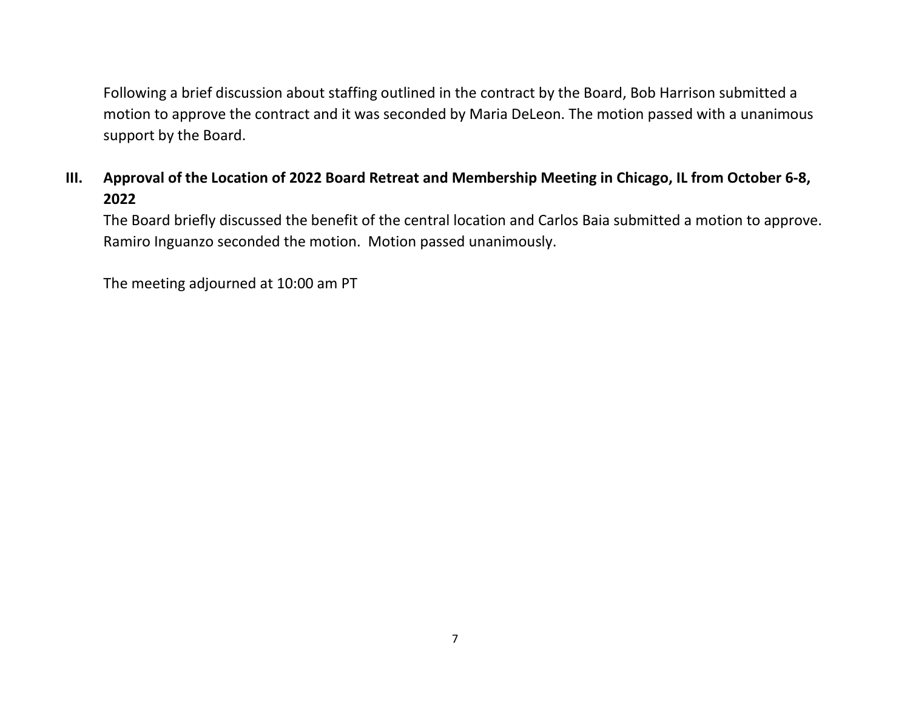Following a brief discussion about staffing outlined in the contract by the Board, Bob Harrison submitted a motion to approve the contract and it was seconded by Maria DeLeon. The motion passed with a unanimous support by the Board.

## **III. Approval of the Location of 2022 Board Retreat and Membership Meeting in Chicago, IL from October 6-8, 2022**

The Board briefly discussed the benefit of the central location and Carlos Baia submitted a motion to approve. Ramiro Inguanzo seconded the motion. Motion passed unanimously.

The meeting adjourned at 10:00 am PT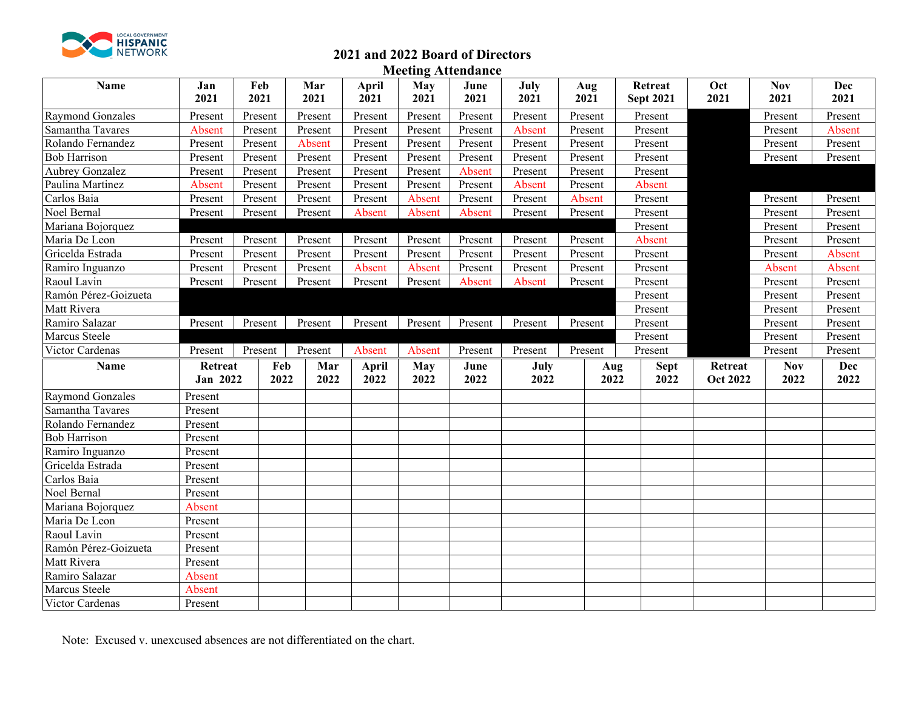

## **2021 and 2022 Board of Directors**

**Meeting Attendance**

| Name                    | Jan<br>2021                | Feb<br>2021 | Mar<br>2021 | April<br>2021 | <b>May</b><br>2021 | June<br>2021 | July<br>2021 | Aug<br>2021 | Retreat<br><b>Sept 2021</b> | Oct<br>2021                | <b>Nov</b><br>2021 | Dec<br>2021        |
|-------------------------|----------------------------|-------------|-------------|---------------|--------------------|--------------|--------------|-------------|-----------------------------|----------------------------|--------------------|--------------------|
| Raymond Gonzales        | Present                    | Present     | Present     | Present       | Present            | Present      | Present      | Present     | Present                     |                            | Present            | Present            |
| Samantha Tavares        | Absent                     | Present     | Present     | Present       | Present            | Present      | Absent       | Present     | Present                     |                            | Present            | Absent             |
| Rolando Fernandez       | Present                    | Present     | Absent      | Present       | Present            | Present      | Present      | Present     | Present                     |                            | Present            | Present            |
| <b>Bob Harrison</b>     | Present                    | Present     | Present     | Present       | Present            | Present      | Present      | Present     | Present                     |                            | Present            | Present            |
| Aubrey Gonzalez         | Present                    | Present     | Present     | Present       | Present            | Absent       | Present      | Present     | Present                     |                            |                    |                    |
| Paulina Martinez        | Absent                     | Present     | Present     | Present       | Present            | Present      | Absent       | Present     | Absent                      |                            |                    |                    |
| Carlos Baia             | Present                    | Present     | Present     | Present       | Absent             | Present      | Present      | Absent      | Present                     |                            | Present            | Present            |
| Noel Bernal             | Present                    | Present     | Present     | Absent        | Absent             | Absent       | Present      | Present     | Present                     |                            | Present            | Present            |
| Mariana Bojorquez       |                            |             |             |               |                    |              |              |             | Present                     |                            | Present            | Present            |
| Maria De Leon           | Present                    | Present     | Present     | Present       | Present            | Present      | Present      | Present     | Absent                      |                            | Present            | Present            |
| Gricelda Estrada        | Present                    | Present     | Present     | Present       | Present            | Present      | Present      | Present     | Present                     |                            | Present            | Absent             |
| Ramiro Inguanzo         | Present                    | Present     | Present     | Absent        | Absent             | Present      | Present      | Present     | Present                     |                            | Absent             | Absent             |
| Raoul Lavin             | Present                    | Present     | Present     | Present       | Present            | Absent       | Absent       | Present     | Present                     |                            | Present            | Present            |
| Ramón Pérez-Goizueta    |                            |             |             |               |                    |              |              |             | Present                     |                            | Present            | Present            |
| Matt Rivera             |                            |             |             |               |                    |              |              |             | Present                     |                            | Present            | Present            |
| Ramiro Salazar          | Present                    | Present     | Present     | Present       | Present            | Present      | Present      | Present     | Present                     |                            | Present            | Present            |
| Marcus Steele           |                            |             |             |               |                    |              |              |             | Present                     |                            | Present            | Present            |
| Victor Cardenas         | Present                    | Present     | Present     | Absent        | Absent             | Present      | Present      | Present     | Present                     |                            | Present            | Present            |
| Name                    | Retreat<br><b>Jan 2022</b> | Feb<br>2022 | Mar<br>2022 | April<br>2022 | <b>May</b><br>2022 | June<br>2022 | July<br>2022 | 2022        | <b>Sept</b><br>Aug<br>2022  | Retreat<br><b>Oct 2022</b> | <b>Nov</b><br>2022 | <b>Dec</b><br>2022 |
| <b>Raymond Gonzales</b> | Present                    |             |             |               |                    |              |              |             |                             |                            |                    |                    |
| Samantha Tavares        | Present                    |             |             |               |                    |              |              |             |                             |                            |                    |                    |
| Rolando Fernandez       | Present                    |             |             |               |                    |              |              |             |                             |                            |                    |                    |
| <b>Bob Harrison</b>     | Present                    |             |             |               |                    |              |              |             |                             |                            |                    |                    |
| Ramiro Inguanzo         | Present                    |             |             |               |                    |              |              |             |                             |                            |                    |                    |
| Gricelda Estrada        | Present                    |             |             |               |                    |              |              |             |                             |                            |                    |                    |
| Carlos Baia             | Present                    |             |             |               |                    |              |              |             |                             |                            |                    |                    |
| Noel Bernal             | Present                    |             |             |               |                    |              |              |             |                             |                            |                    |                    |
| Mariana Bojorquez       | Absent                     |             |             |               |                    |              |              |             |                             |                            |                    |                    |
| Maria De Leon           | Present                    |             |             |               |                    |              |              |             |                             |                            |                    |                    |
| Raoul Lavin             | Present                    |             |             |               |                    |              |              |             |                             |                            |                    |                    |
| Ramón Pérez-Goizueta    | Present                    |             |             |               |                    |              |              |             |                             |                            |                    |                    |
| Matt Rivera             | Present                    |             |             |               |                    |              |              |             |                             |                            |                    |                    |
| Ramiro Salazar          | Absent                     |             |             |               |                    |              |              |             |                             |                            |                    |                    |
| Marcus Steele           | Absent                     |             |             |               |                    |              |              |             |                             |                            |                    |                    |
| Victor Cardenas         | Present                    |             |             |               |                    |              |              |             |                             |                            |                    |                    |

Note: Excused v. unexcused absences are not differentiated on the chart.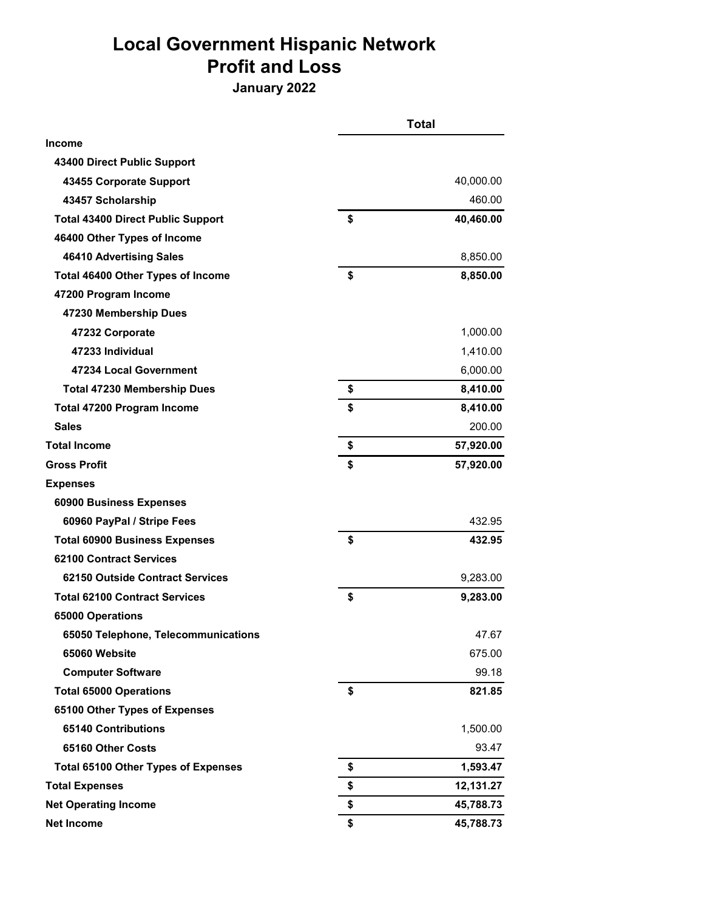# **Local Government Hispanic Network Profit and Loss**

**January 2022**

|                                            | Total           |
|--------------------------------------------|-----------------|
| <b>Income</b>                              |                 |
| 43400 Direct Public Support                |                 |
| 43455 Corporate Support                    | 40,000.00       |
| 43457 Scholarship                          | 460.00          |
| <b>Total 43400 Direct Public Support</b>   | \$<br>40,460.00 |
| 46400 Other Types of Income                |                 |
| 46410 Advertising Sales                    | 8,850.00        |
| Total 46400 Other Types of Income          | \$<br>8,850.00  |
| 47200 Program Income                       |                 |
| 47230 Membership Dues                      |                 |
| 47232 Corporate                            | 1,000.00        |
| 47233 Individual                           | 1,410.00        |
| 47234 Local Government                     | 6,000.00        |
| <b>Total 47230 Membership Dues</b>         | \$<br>8,410.00  |
| Total 47200 Program Income                 | \$<br>8,410.00  |
| <b>Sales</b>                               | 200.00          |
| <b>Total Income</b>                        | \$<br>57,920.00 |
| <b>Gross Profit</b>                        | \$<br>57,920.00 |
| <b>Expenses</b>                            |                 |
| 60900 Business Expenses                    |                 |
| 60960 PayPal / Stripe Fees                 | 432.95          |
| <b>Total 60900 Business Expenses</b>       | \$<br>432.95    |
| 62100 Contract Services                    |                 |
| 62150 Outside Contract Services            | 9,283.00        |
| <b>Total 62100 Contract Services</b>       | \$<br>9,283.00  |
| 65000 Operations                           |                 |
| 65050 Telephone, Telecommunications        | 47.67           |
| 65060 Website                              | 675.00          |
| <b>Computer Software</b>                   | 99.18           |
| <b>Total 65000 Operations</b>              | \$<br>821.85    |
| 65100 Other Types of Expenses              |                 |
| 65140 Contributions                        | 1,500.00        |
| 65160 Other Costs                          | 93.47           |
| <b>Total 65100 Other Types of Expenses</b> | \$<br>1,593.47  |
| <b>Total Expenses</b>                      | \$<br>12,131.27 |
| <b>Net Operating Income</b>                | \$<br>45,788.73 |
| <b>Net Income</b>                          | \$<br>45,788.73 |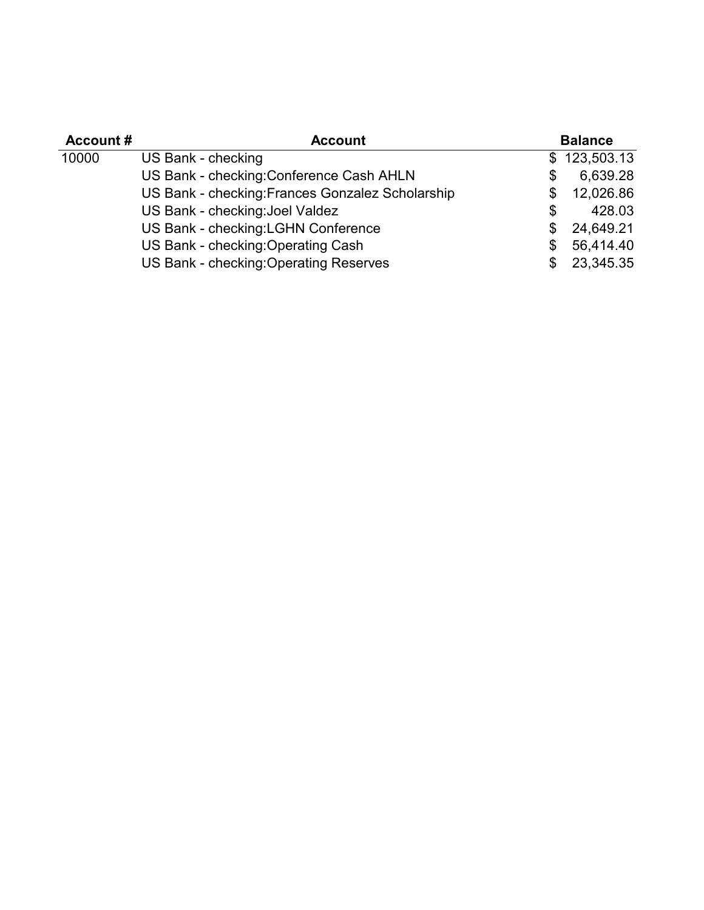| <b>Account #</b> | <b>Account</b>                                   |     | <b>Balance</b> |
|------------------|--------------------------------------------------|-----|----------------|
| 10000            | US Bank - checking                               |     | \$123,503.13   |
|                  | US Bank - checking: Conference Cash AHLN         | S   | 6,639.28       |
|                  | US Bank - checking: Frances Gonzalez Scholarship | \$  | 12,026.86      |
|                  | US Bank - checking: Joel Valdez                  | \$  | 428.03         |
|                  | US Bank - checking: LGHN Conference              | \$  | 24,649.21      |
|                  | US Bank - checking: Operating Cash               | \$  | 56,414.40      |
|                  | US Bank - checking: Operating Reserves           | \$. | 23,345.35      |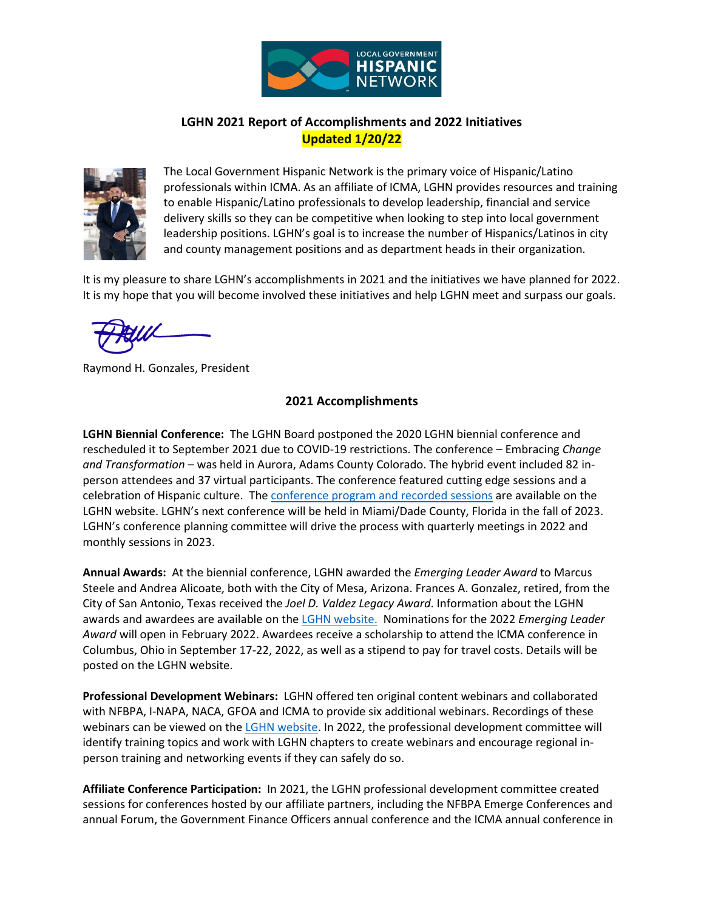

### **LGHN 2021 Report of Accomplishments and 2022 Initiatives Updated 1/20/22**



The Local Government Hispanic Network is the primary voice of Hispanic/Latino professionals within ICMA. As an affiliate of ICMA, LGHN provides resources and training to enable Hispanic/Latino professionals to develop leadership, financial and service delivery skills so they can be competitive when looking to step into local government leadership positions. LGHN's goal is to increase the number of Hispanics/Latinos in city and county management positions and as department heads in their organization.

It is my pleasure to share LGHN's accomplishments in 2021 and the initiatives we have planned for 2022. It is my hope that you will become involved these initiatives and help LGHN meet and surpass our goals.

Raymond H. Gonzales, President

### **2021 Accomplishments**

**LGHN Biennial Conference:** The LGHN Board postponed the 2020 LGHN biennial conference and rescheduled it to September 2021 due to COVID-19 restrictions. The conference – Embracing *Change and Transformation* – was held in Aurora, Adams County Colorado. The hybrid event included 82 inperson attendees and 37 virtual participants. The conference featured cutting edge sessions and a celebration of Hispanic culture. Th[e conference program and recorded sessions](https://lghn.org/wp-content/uploads/2022/01/LGHN_Program_Final_211220.pdf) are available on the LGHN website. LGHN's next conference will be held in Miami/Dade County, Florida in the fall of 2023. LGHN's conference planning committee will drive the process with quarterly meetings in 2022 and monthly sessions in 2023.

**Annual Awards:** At the biennial conference, LGHN awarded the *Emerging Leader Award* to Marcus Steele and Andrea Alicoate, both with the City of Mesa, Arizona. Frances A. Gonzalez, retired, from the City of San Antonio, Texas received the *Joel D. Valdez Legacy Award*. Information about the LGHN awards and awardees are available on th[e LGHN website.](https://lghn.org/awards/) Nominations for the 2022 *Emerging Leader Award* will open in February 2022. Awardees receive a scholarship to attend the ICMA conference in Columbus, Ohio in September 17-22, 2022, as well as a stipend to pay for travel costs. Details will be posted on the LGHN website.

**Professional Development Webinars:** LGHN offered ten original content webinars and collaborated with NFBPA, I-NAPA, NACA, GFOA and ICMA to provide six additional webinars. Recordings of these webinars can be viewed on the [LGHN website.](https://lghn.org/recorded-webinars/) In 2022, the professional development committee will identify training topics and work with LGHN chapters to create webinars and encourage regional inperson training and networking events if they can safely do so.

**Affiliate Conference Participation:** In 2021, the LGHN professional development committee created sessions for conferences hosted by our affiliate partners, including the NFBPA Emerge Conferences and annual Forum, the Government Finance Officers annual conference and the ICMA annual conference in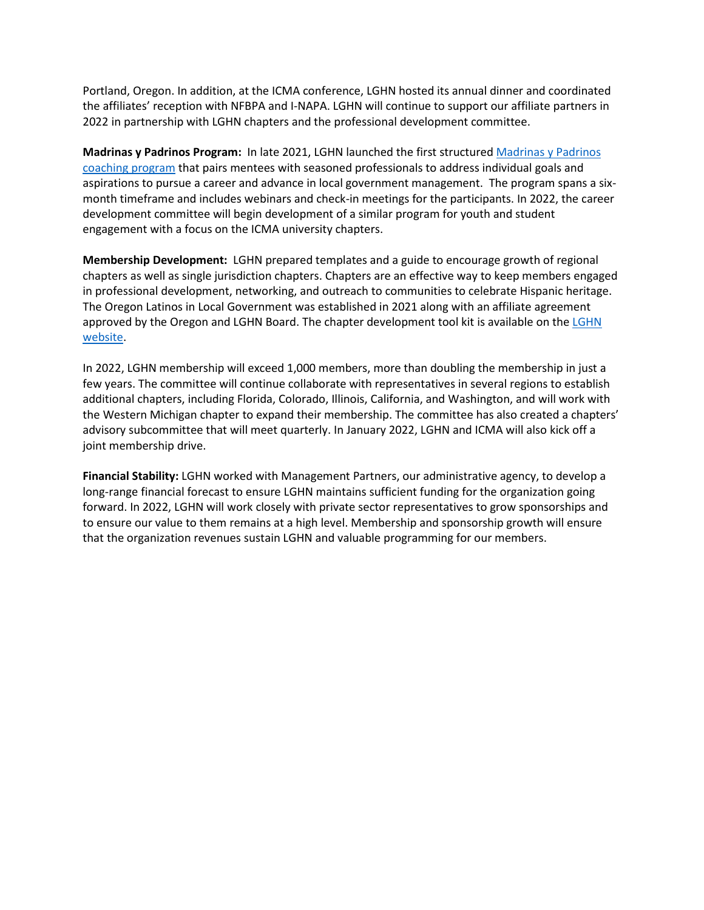Portland, Oregon. In addition, at the ICMA conference, LGHN hosted its annual dinner and coordinated the affiliates' reception with NFBPA and I-NAPA. LGHN will continue to support our affiliate partners in 2022 in partnership with LGHN chapters and the professional development committee.

**Madrinas y Padrinos Program:** In late 2021, LGHN launched the first structure[d Madrinas y Padrinos](https://lghn.org/leadership-development/padrinos-madrinas/)  [coaching program](https://lghn.org/leadership-development/padrinos-madrinas/) that pairs mentees with seasoned professionals to address individual goals and aspirations to pursue a career and advance in local government management. The program spans a sixmonth timeframe and includes webinars and check-in meetings for the participants. In 2022, the career development committee will begin development of a similar program for youth and student engagement with a focus on the ICMA university chapters.

**Membership Development:** LGHN prepared templates and a guide to encourage growth of regional chapters as well as single jurisdiction chapters. Chapters are an effective way to keep members engaged in professional development, networking, and outreach to communities to celebrate Hispanic heritage. The Oregon Latinos in Local Government was established in 2021 along with an affiliate agreement approved by the Oregon and [LGHN](https://lghn.org/chapter-members/) Board. The chapter development tool kit is available on the LGHN [website.](https://lghn.org/chapter-members/)

In 2022, LGHN membership will exceed 1,000 members, more than doubling the membership in just a few years. The committee will continue collaborate with representatives in several regions to establish additional chapters, including Florida, Colorado, Illinois, California, and Washington, and will work with the Western Michigan chapter to expand their membership. The committee has also created a chapters' advisory subcommittee that will meet quarterly. In January 2022, LGHN and ICMA will also kick off a joint membership drive.

**Financial Stability:** LGHN worked with Management Partners, our administrative agency, to develop a long-range financial forecast to ensure LGHN maintains sufficient funding for the organization going forward. In 2022, LGHN will work closely with private sector representatives to grow sponsorships and to ensure our value to them remains at a high level. Membership and sponsorship growth will ensure that the organization revenues sustain LGHN and valuable programming for our members.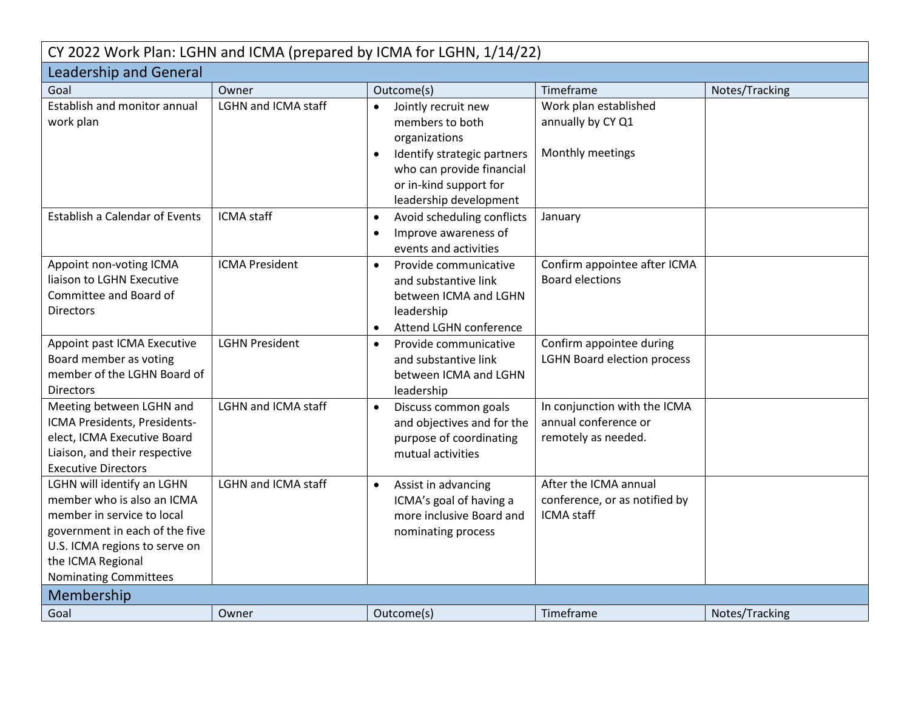| CY 2022 Work Plan: LGHN and ICMA (prepared by ICMA for LGHN, 1/14/22)                                                                                                                                          |                            |                                                                                                                                                                                                   |                                                                             |                |  |  |  |
|----------------------------------------------------------------------------------------------------------------------------------------------------------------------------------------------------------------|----------------------------|---------------------------------------------------------------------------------------------------------------------------------------------------------------------------------------------------|-----------------------------------------------------------------------------|----------------|--|--|--|
| <b>Leadership and General</b>                                                                                                                                                                                  |                            |                                                                                                                                                                                                   |                                                                             |                |  |  |  |
| Goal                                                                                                                                                                                                           | Owner                      | Outcome(s)                                                                                                                                                                                        | Timeframe                                                                   | Notes/Tracking |  |  |  |
| <b>Establish and monitor annual</b><br>work plan                                                                                                                                                               | <b>LGHN and ICMA staff</b> | Jointly recruit new<br>$\bullet$<br>members to both<br>organizations<br>Identify strategic partners<br>$\bullet$<br>who can provide financial<br>or in-kind support for<br>leadership development | Work plan established<br>annually by CY Q1<br>Monthly meetings              |                |  |  |  |
| <b>Establish a Calendar of Events</b>                                                                                                                                                                          | <b>ICMA</b> staff          | Avoid scheduling conflicts<br>$\bullet$<br>Improve awareness of<br>$\bullet$<br>events and activities                                                                                             | January                                                                     |                |  |  |  |
| Appoint non-voting ICMA<br>liaison to LGHN Executive<br>Committee and Board of<br><b>Directors</b>                                                                                                             | <b>ICMA President</b>      | Provide communicative<br>$\bullet$<br>and substantive link<br>between ICMA and LGHN<br>leadership<br>Attend LGHN conference<br>$\bullet$                                                          | Confirm appointee after ICMA<br><b>Board elections</b>                      |                |  |  |  |
| Appoint past ICMA Executive<br>Board member as voting<br>member of the LGHN Board of<br><b>Directors</b>                                                                                                       | <b>LGHN President</b>      | Provide communicative<br>$\bullet$<br>and substantive link<br>between ICMA and LGHN<br>leadership                                                                                                 | Confirm appointee during<br><b>LGHN Board election process</b>              |                |  |  |  |
| Meeting between LGHN and<br>ICMA Presidents, Presidents-<br>elect, ICMA Executive Board<br>Liaison, and their respective<br><b>Executive Directors</b>                                                         | LGHN and ICMA staff        | Discuss common goals<br>$\bullet$<br>and objectives and for the<br>purpose of coordinating<br>mutual activities                                                                                   | In conjunction with the ICMA<br>annual conference or<br>remotely as needed. |                |  |  |  |
| LGHN will identify an LGHN<br>member who is also an ICMA<br>member in service to local<br>government in each of the five<br>U.S. ICMA regions to serve on<br>the ICMA Regional<br><b>Nominating Committees</b> | LGHN and ICMA staff        | Assist in advancing<br>$\bullet$<br>ICMA's goal of having a<br>more inclusive Board and<br>nominating process                                                                                     | After the ICMA annual<br>conference, or as notified by<br><b>ICMA</b> staff |                |  |  |  |
| Membership                                                                                                                                                                                                     |                            |                                                                                                                                                                                                   |                                                                             |                |  |  |  |
| Goal                                                                                                                                                                                                           | Owner                      | Outcome(s)                                                                                                                                                                                        | Timeframe                                                                   | Notes/Tracking |  |  |  |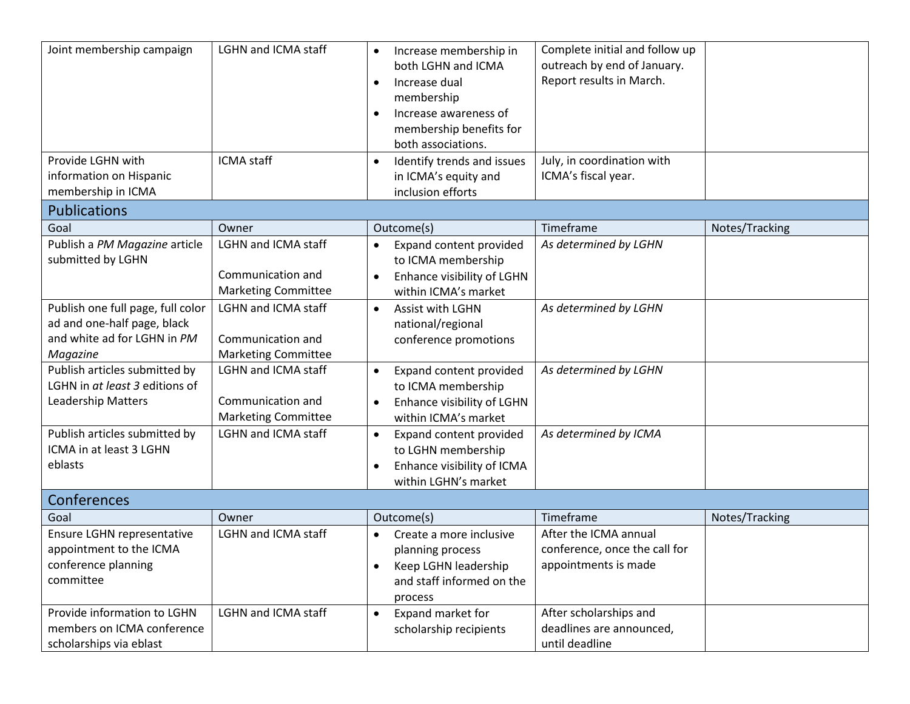| Joint membership campaign<br>Provide LGHN with<br>information on Hispanic<br>membership in ICMA                          | LGHN and ICMA staff<br><b>ICMA</b> staff                                      | Increase membership in<br>$\bullet$<br>both LGHN and ICMA<br>Increase dual<br>$\bullet$<br>membership<br>Increase awareness of<br>$\bullet$<br>membership benefits for<br>both associations.<br>Identify trends and issues<br>$\bullet$<br>in ICMA's equity and<br>inclusion efforts | Complete initial and follow up<br>outreach by end of January.<br>Report results in March.<br>July, in coordination with<br>ICMA's fiscal year. |                |
|--------------------------------------------------------------------------------------------------------------------------|-------------------------------------------------------------------------------|--------------------------------------------------------------------------------------------------------------------------------------------------------------------------------------------------------------------------------------------------------------------------------------|------------------------------------------------------------------------------------------------------------------------------------------------|----------------|
| <b>Publications</b>                                                                                                      |                                                                               |                                                                                                                                                                                                                                                                                      |                                                                                                                                                |                |
| Goal                                                                                                                     | Owner                                                                         | Outcome(s)                                                                                                                                                                                                                                                                           | Timeframe                                                                                                                                      | Notes/Tracking |
| Publish a PM Magazine article<br>submitted by LGHN                                                                       | <b>LGHN and ICMA staff</b><br>Communication and<br><b>Marketing Committee</b> | Expand content provided<br>$\bullet$<br>to ICMA membership<br>Enhance visibility of LGHN<br>$\bullet$<br>within ICMA's market                                                                                                                                                        | As determined by LGHN                                                                                                                          |                |
| Publish one full page, full color<br>ad and one-half page, black<br>and white ad for LGHN in PM<br>Magazine              | <b>LGHN and ICMA staff</b><br>Communication and<br><b>Marketing Committee</b> | Assist with LGHN<br>$\bullet$<br>national/regional<br>conference promotions                                                                                                                                                                                                          | As determined by LGHN                                                                                                                          |                |
| Publish articles submitted by<br>LGHN in at least 3 editions of<br><b>Leadership Matters</b>                             | <b>LGHN and ICMA staff</b><br>Communication and<br><b>Marketing Committee</b> | Expand content provided<br>$\bullet$<br>to ICMA membership<br>Enhance visibility of LGHN<br>$\bullet$<br>within ICMA's market                                                                                                                                                        | As determined by LGHN                                                                                                                          |                |
| Publish articles submitted by<br>ICMA in at least 3 LGHN<br>eblasts                                                      | LGHN and ICMA staff                                                           | Expand content provided<br>$\bullet$<br>to LGHN membership<br>Enhance visibility of ICMA<br>within LGHN's market                                                                                                                                                                     | As determined by ICMA                                                                                                                          |                |
| Conferences                                                                                                              |                                                                               |                                                                                                                                                                                                                                                                                      |                                                                                                                                                |                |
| Goal                                                                                                                     | Owner                                                                         | Outcome(s)                                                                                                                                                                                                                                                                           | Timeframe                                                                                                                                      | Notes/Tracking |
| Ensure LGHN representative<br>appointment to the ICMA<br>conference planning<br>committee<br>Provide information to LGHN | <b>LGHN and ICMA staff</b>                                                    | Create a more inclusive<br>$\bullet$<br>planning process<br>Keep LGHN leadership<br>٠<br>and staff informed on the<br>process                                                                                                                                                        | After the ICMA annual<br>conference, once the call for<br>appointments is made                                                                 |                |
| members on ICMA conference<br>scholarships via eblast                                                                    | <b>LGHN and ICMA staff</b>                                                    | Expand market for<br>$\bullet$<br>scholarship recipients                                                                                                                                                                                                                             | After scholarships and<br>deadlines are announced,<br>until deadline                                                                           |                |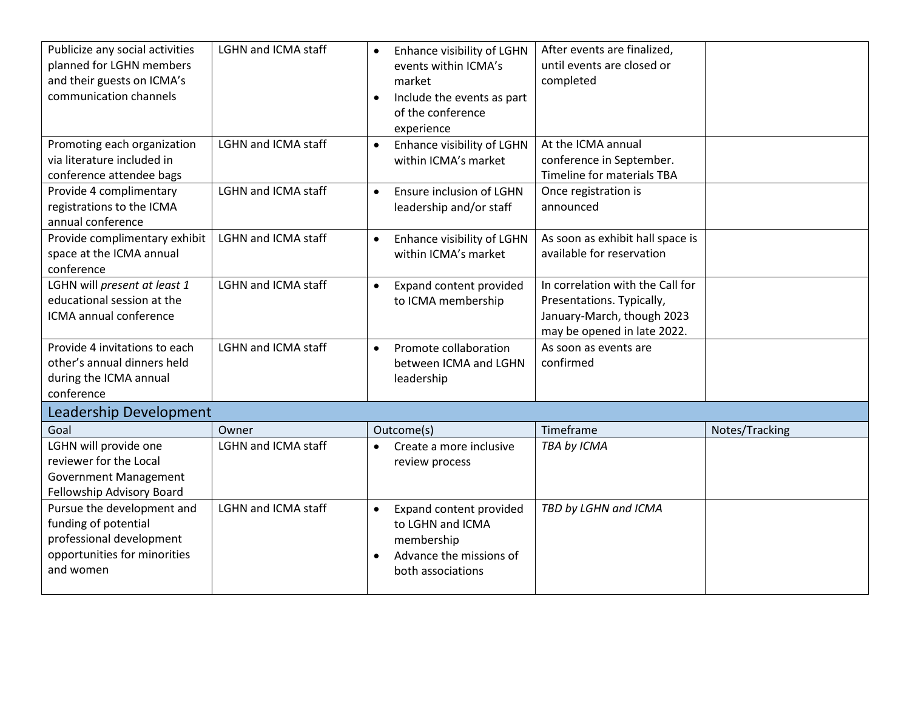| Publicize any social activities<br>planned for LGHN members<br>and their guests on ICMA's<br>communication channels         | <b>LGHN and ICMA staff</b> | Enhance visibility of LGHN<br>$\bullet$<br>events within ICMA's<br>market<br>Include the events as part<br>$\bullet$<br>of the conference<br>experience | After events are finalized,<br>until events are closed or<br>completed                                                     |                |
|-----------------------------------------------------------------------------------------------------------------------------|----------------------------|---------------------------------------------------------------------------------------------------------------------------------------------------------|----------------------------------------------------------------------------------------------------------------------------|----------------|
| Promoting each organization<br>via literature included in<br>conference attendee bags                                       | <b>LGHN and ICMA staff</b> | Enhance visibility of LGHN<br>$\bullet$<br>within ICMA's market                                                                                         | At the ICMA annual<br>conference in September.<br>Timeline for materials TBA                                               |                |
| Provide 4 complimentary<br>registrations to the ICMA<br>annual conference                                                   | <b>LGHN and ICMA staff</b> | Ensure inclusion of LGHN<br>$\bullet$<br>leadership and/or staff                                                                                        | Once registration is<br>announced                                                                                          |                |
| Provide complimentary exhibit<br>space at the ICMA annual<br>conference                                                     | <b>LGHN and ICMA staff</b> | Enhance visibility of LGHN<br>$\bullet$<br>within ICMA's market                                                                                         | As soon as exhibit hall space is<br>available for reservation                                                              |                |
| LGHN will present at least 1<br>educational session at the<br>ICMA annual conference                                        | <b>LGHN and ICMA staff</b> | Expand content provided<br>$\bullet$<br>to ICMA membership                                                                                              | In correlation with the Call for<br>Presentations. Typically,<br>January-March, though 2023<br>may be opened in late 2022. |                |
| Provide 4 invitations to each<br>other's annual dinners held<br>during the ICMA annual<br>conference                        | LGHN and ICMA staff        | Promote collaboration<br>$\bullet$<br>between ICMA and LGHN<br>leadership                                                                               | As soon as events are<br>confirmed                                                                                         |                |
| Leadership Development                                                                                                      |                            |                                                                                                                                                         |                                                                                                                            |                |
| Goal                                                                                                                        | Owner                      | Outcome(s)                                                                                                                                              | Timeframe                                                                                                                  | Notes/Tracking |
| LGHN will provide one<br>reviewer for the Local<br><b>Government Management</b><br>Fellowship Advisory Board                | <b>LGHN and ICMA staff</b> | Create a more inclusive<br>$\bullet$<br>review process                                                                                                  | TBA by ICMA                                                                                                                |                |
| Pursue the development and<br>funding of potential<br>professional development<br>opportunities for minorities<br>and women | LGHN and ICMA staff        | Expand content provided<br>$\bullet$<br>to LGHN and ICMA<br>membership<br>Advance the missions of<br>$\bullet$<br>both associations                     | TBD by LGHN and ICMA                                                                                                       |                |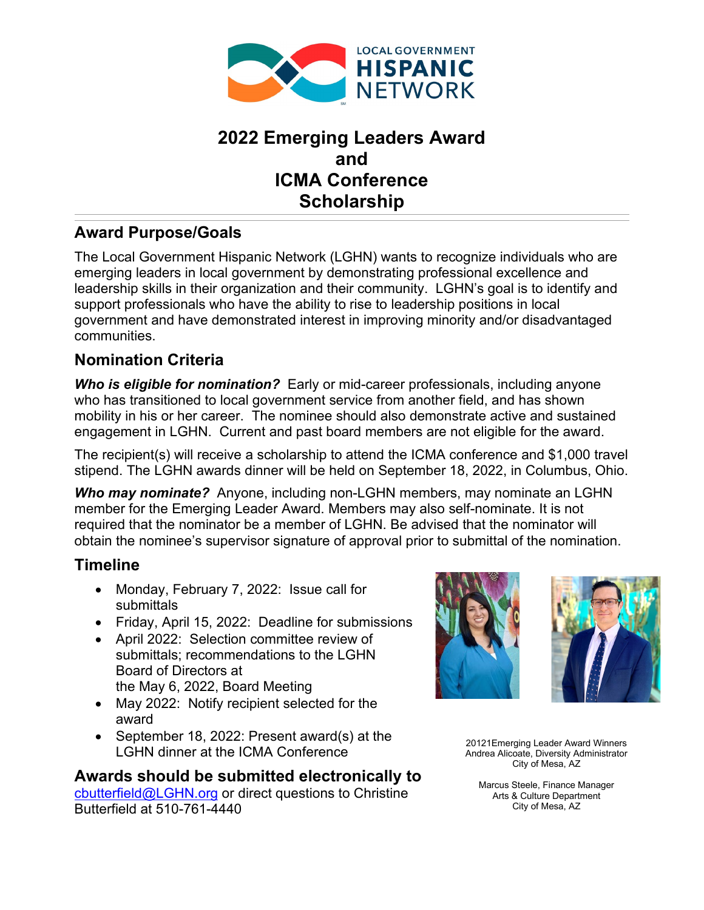

# **2022 Emerging Leaders Award and ICMA Conference Scholarship**

## **Award Purpose/Goals**

The Local Government Hispanic Network (LGHN) wants to recognize individuals who are emerging leaders in local government by demonstrating professional excellence and leadership skills in their organization and their community. LGHN's goal is to identify and support professionals who have the ability to rise to leadership positions in local government and have demonstrated interest in improving minority and/or disadvantaged communities.

## **Nomination Criteria**

**Who is eligible for nomination?** Early or mid-career professionals, including anyone who has transitioned to local government service from another field, and has shown mobility in his or her career. The nominee should also demonstrate active and sustained engagement in LGHN. Current and past board members are not eligible for the award.

The recipient(s) will receive a scholarship to attend the ICMA conference and \$1,000 travel stipend. The LGHN awards dinner will be held on September 18, 2022, in Columbus, Ohio.

*Who may nominate?* Anyone, including non-LGHN members, may nominate an LGHN member for the Emerging Leader Award. Members may also self-nominate. It is not required that the nominator be a member of LGHN. Be advised that the nominator will obtain the nominee's supervisor signature of approval prior to submittal of the nomination.

## **Timeline**

- Monday, February 7, 2022: Issue call for submittals
- Friday, April 15, 2022: Deadline for submissions
- April 2022: Selection committee review of submittals; recommendations to the LGHN Board of Directors at the May 6, 2022, Board Meeting
- May 2022: Notify recipient selected for the award
- September 18, 2022: Present award(s) at the LGHN dinner at the ICMA Conference

## **Awards should be submitted electronically to**

[cbutterfield@LGHN.org](mailto:cbutterfield@LGHN.org) or direct questions to Christine Butterfield at 510-761-4440





20121Emerging Leader Award Winners Andrea Alicoate, Diversity Administrator City of Mesa, AZ

Marcus Steele, Finance Manager Arts & Culture Department City of Mesa, AZ